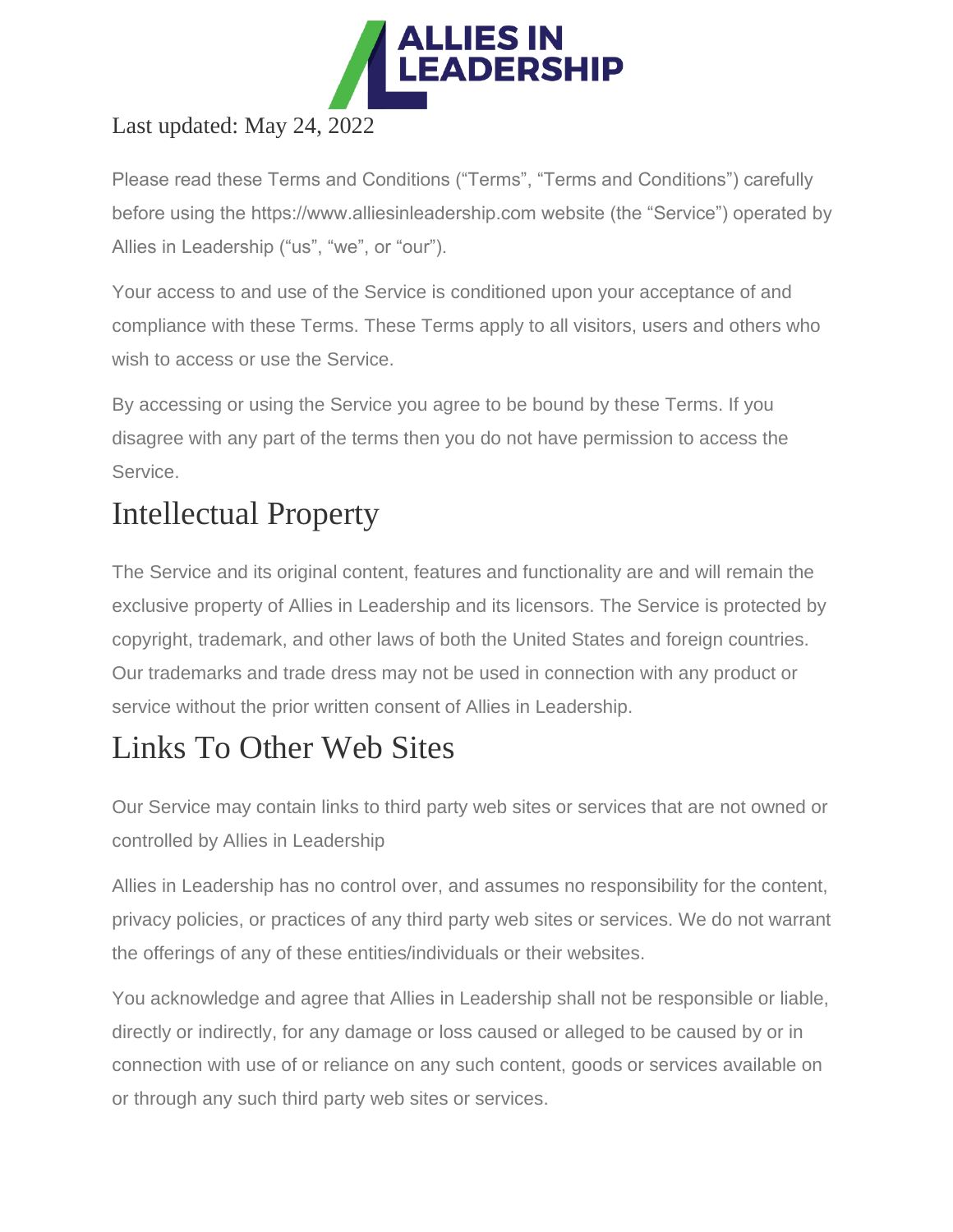

#### Last updated: May 24, 2022

Please read these Terms and Conditions ("Terms", "Terms and Conditions") carefully before using the https://www.alliesinleadership.com website (the "Service") operated by Allies in Leadership ("us", "we", or "our").

Your access to and use of the Service is conditioned upon your acceptance of and compliance with these Terms. These Terms apply to all visitors, users and others who wish to access or use the Service.

By accessing or using the Service you agree to be bound by these Terms. If you disagree with any part of the terms then you do not have permission to access the Service.

## Intellectual Property

The Service and its original content, features and functionality are and will remain the exclusive property of Allies in Leadership and its licensors. The Service is protected by copyright, trademark, and other laws of both the United States and foreign countries. Our trademarks and trade dress may not be used in connection with any product or service without the prior written consent of Allies in Leadership.

## Links To Other Web Sites

Our Service may contain links to third party web sites or services that are not owned or controlled by Allies in Leadership

Allies in Leadership has no control over, and assumes no responsibility for the content, privacy policies, or practices of any third party web sites or services. We do not warrant the offerings of any of these entities/individuals or their websites.

You acknowledge and agree that Allies in Leadership shall not be responsible or liable, directly or indirectly, for any damage or loss caused or alleged to be caused by or in connection with use of or reliance on any such content, goods or services available on or through any such third party web sites or services.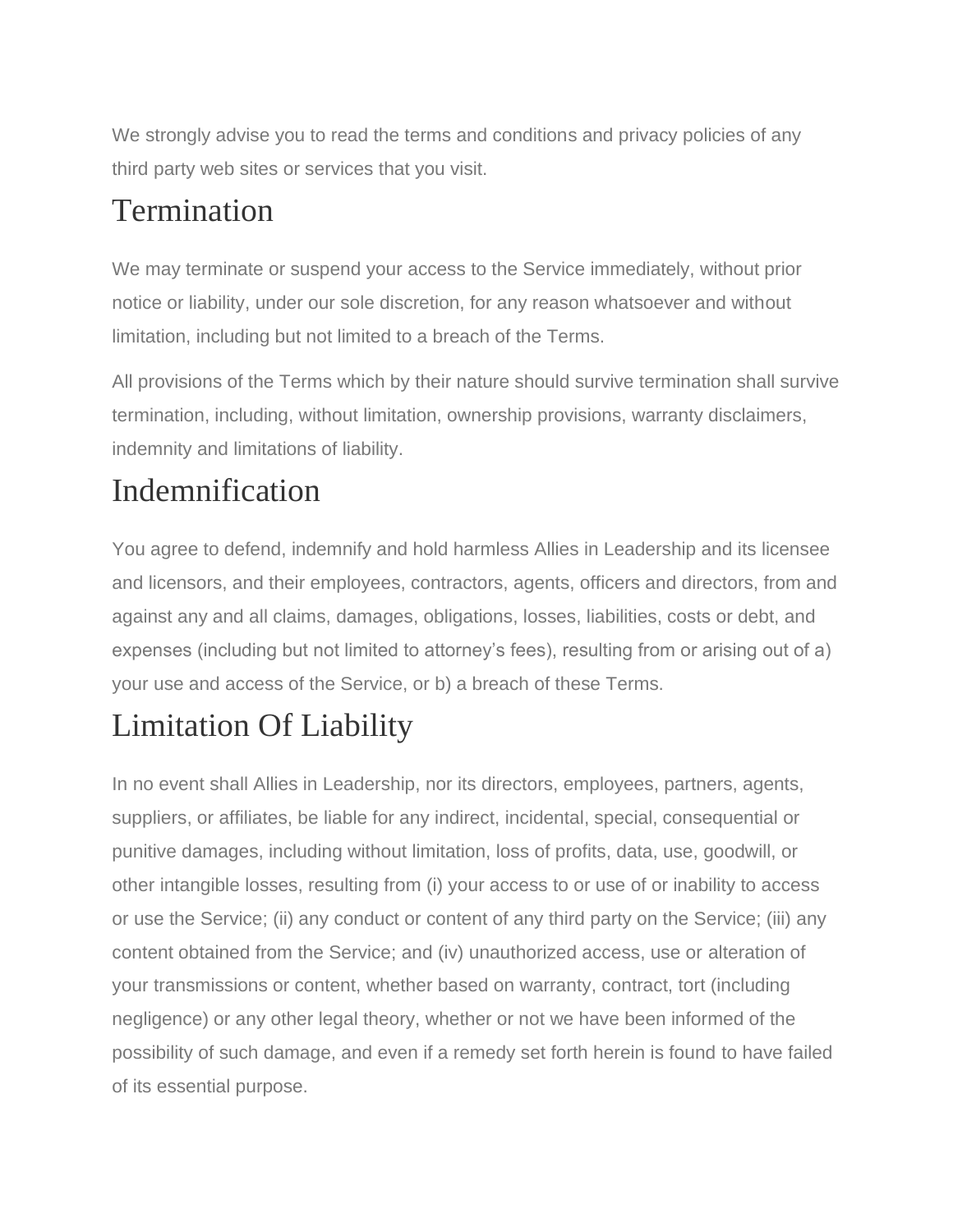We strongly advise you to read the terms and conditions and privacy policies of any third party web sites or services that you visit.

#### Termination

We may terminate or suspend your access to the Service immediately, without prior notice or liability, under our sole discretion, for any reason whatsoever and without limitation, including but not limited to a breach of the Terms.

All provisions of the Terms which by their nature should survive termination shall survive termination, including, without limitation, ownership provisions, warranty disclaimers, indemnity and limitations of liability.

## Indemnification

You agree to defend, indemnify and hold harmless Allies in Leadership and its licensee and licensors, and their employees, contractors, agents, officers and directors, from and against any and all claims, damages, obligations, losses, liabilities, costs or debt, and expenses (including but not limited to attorney's fees), resulting from or arising out of a) your use and access of the Service, or b) a breach of these Terms.

## Limitation Of Liability

In no event shall Allies in Leadership, nor its directors, employees, partners, agents, suppliers, or affiliates, be liable for any indirect, incidental, special, consequential or punitive damages, including without limitation, loss of profits, data, use, goodwill, or other intangible losses, resulting from (i) your access to or use of or inability to access or use the Service; (ii) any conduct or content of any third party on the Service; (iii) any content obtained from the Service; and (iv) unauthorized access, use or alteration of your transmissions or content, whether based on warranty, contract, tort (including negligence) or any other legal theory, whether or not we have been informed of the possibility of such damage, and even if a remedy set forth herein is found to have failed of its essential purpose.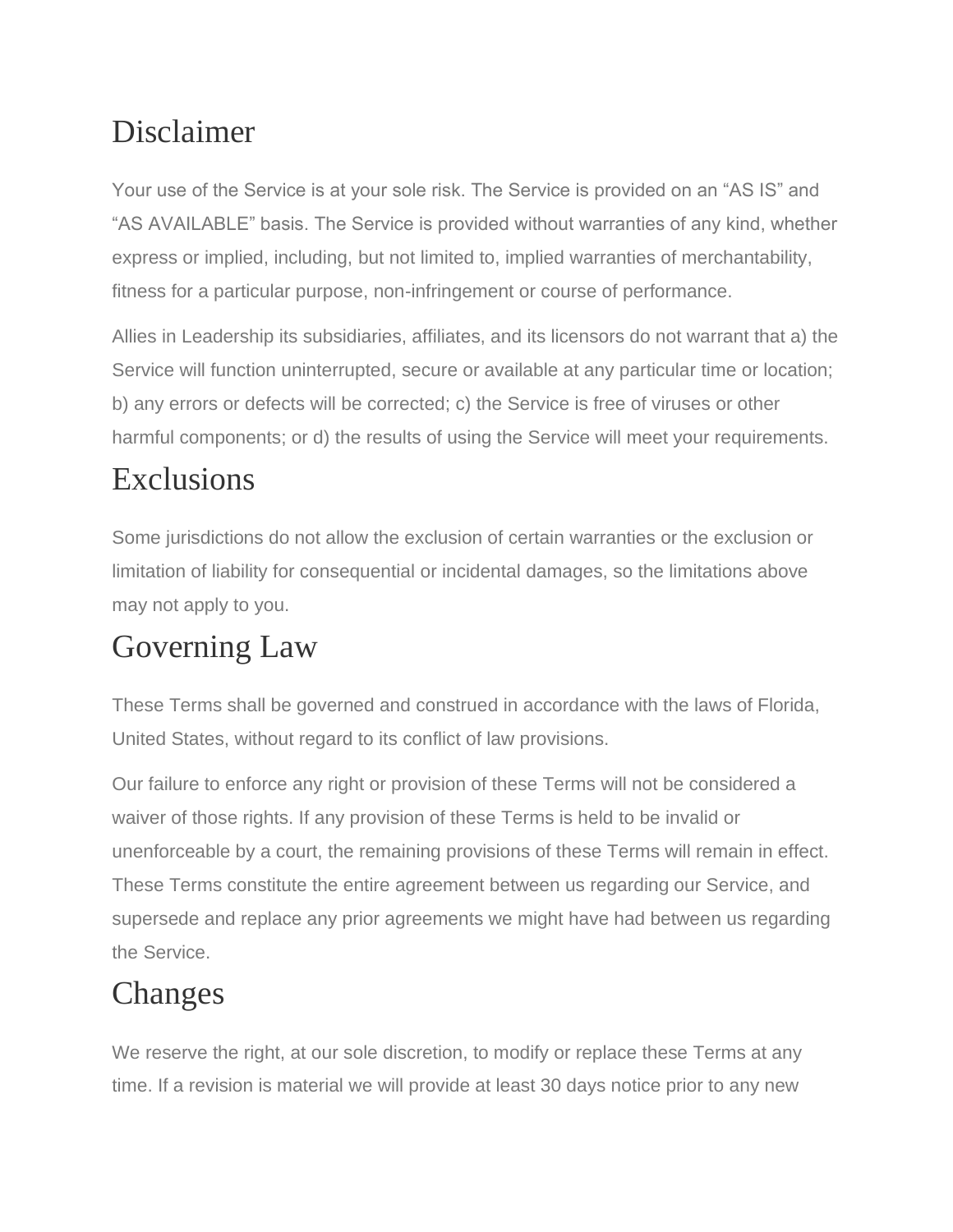#### Disclaimer

Your use of the Service is at your sole risk. The Service is provided on an "AS IS" and "AS AVAILABLE" basis. The Service is provided without warranties of any kind, whether express or implied, including, but not limited to, implied warranties of merchantability, fitness for a particular purpose, non-infringement or course of performance.

Allies in Leadership its subsidiaries, affiliates, and its licensors do not warrant that a) the Service will function uninterrupted, secure or available at any particular time or location; b) any errors or defects will be corrected; c) the Service is free of viruses or other harmful components; or d) the results of using the Service will meet your requirements.

## Exclusions

Some jurisdictions do not allow the exclusion of certain warranties or the exclusion or limitation of liability for consequential or incidental damages, so the limitations above may not apply to you.

#### Governing Law

These Terms shall be governed and construed in accordance with the laws of Florida, United States, without regard to its conflict of law provisions.

Our failure to enforce any right or provision of these Terms will not be considered a waiver of those rights. If any provision of these Terms is held to be invalid or unenforceable by a court, the remaining provisions of these Terms will remain in effect. These Terms constitute the entire agreement between us regarding our Service, and supersede and replace any prior agreements we might have had between us regarding the Service.

# Changes

We reserve the right, at our sole discretion, to modify or replace these Terms at any time. If a revision is material we will provide at least 30 days notice prior to any new